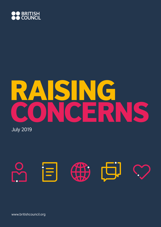

# RAISING E P.

July 2019



www.britishcouncil.org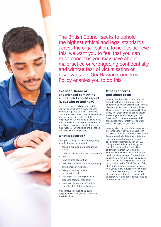

The British Council seeks to uphold the highest ethical and legal standards across the organisation. To help us achieve this, we want you to feel that you can raise concerns you may have about malpractice or wrongdoing confidentially and without fear of victimisation or disadvantage. Our Raising Concerns Policy enables you to do this.

#### I've seen, heard or experienced something and I think I should report it, but who to and how?

If you are concerned about something you have seen, heard or experienced, we encourage you to raise it under this policy. You do not need to obtain evidence, just have a genuine belief that the malpractice or wrongdoing is taking place. Your concern will be treated seriously and investigated to ensure that instances of malpractice or wrongdoing are identified and dealt with appropriately.

# What is covered?

Examples of malpractice or wrongdoing include, but are not limited to:

- abusing, exploiting or endangering a child
- endangering anyone's safety or security
- theft
- fraud or false accounting
- misuse of the British Council's property
- giving or receiving bribes
- failing to disclose outside business interests
- bullying or threatening behaviour
- breaches of law or regulation
- breaches of the Code of Conduct and other British Council policies.

It also includes covering up such malpractice or wrongdoing or enabling it to take place.

#### Other concerns and where to go

You may want to raise concerns about something that is a personal issue or complaint, such as discrimination, serious disagreements or recurring problems. These concerns are not covered by this policy. For these kinds of issues, please speak to your line manager, your HR Business Partner, your union or staff association representative or another senior manager for guidance.

You may also consider discussing any personal concerns you may have with the British Council's Employee Assistance Programme (EAP). This is a confidential service which allows you to talk with an impartial external adviser. Our EAP is fully accredited and abides by the British Association for Counselling and Psychotherapy (BACP) Ethical Framework which stipulates that under no circumstances, apart from with specific consent from the individual, would case details or identity be given to any third party, including the British Council. Being able to talk to someone impartial may help you to make a decision on whether to proceed. Depending on the nature of your concern, they may also be able to point you to additional advice, outside of the British Council.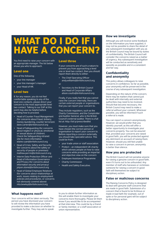# WHAT DO I DO IF I HAVE A CONCERN?

You first need to raise your concern with an appropriate manager. The list below shows you who to approach.

#### Level one

One of the following:

- your line manager
- your line manager's manager
- your Head of HR.

#### Level two

If, for any reason, you do not feel comfortable speaking to any of the level one contacts, please direct your concern to the most appropriate level two contact. Talking to our EAP at this point may also be helpful before deciding how to proceed.

- Head of Counter Fraud Management (for concerns about fraud, bribery, money laundering, counter terrorism) dave.carter@britishcouncil.org
- Head of Safeguarding (for concerns about neglect or physical, emotional or sexual abuse of children). Check the Safeguarding intranet site for more information elaine.ryan@britishcouncil.org
- Head of Crisis, Safety and Security (for concerns about the safety or security of people or premises) mathew.perrin@britishcouncil.org
- Interim Data Protection Officer and Head of Information Governance and Privacy (for concerns about information security and privacy) jolyon.stone@britishcouncil.org
- Head of Global Employee Relations (for concerns about relationships at work, issues relating to employment policies and procedures, or concerns not obviously covered above) nita.bewley@britishcouncil.org

#### Level three

If your concerns are of such a nature to prevent you from approaching a level one or level two contact, then you should report them directly to either:

- The Chief Operating Officer andy.williams@britishcouncil.org or
- Secretary to the British Council and Head of Corporate Affairs alison.coutts@britishcouncil.org

Finally, if you really feel that you cannot raise the concern internally, there are certain external people or organisations that you can report your concern to.

They include regulators, such as the Charity Commission, and the Comptroller and Auditor General, who is the British Council's external auditor. There is a full list at: http://bit.ly/prescribedlist

However, you must make sure that you have chosen the correct person or organisation to report your concern to. Before reporting a concern externally, you should take specialist advice. This could be from:

- your trade union or staff association
- Protect an independent UK charity which advises people on how to raise concerns while providing an impartial and objective view on the concern
- Employee Assistance Programme
- Charity Commission
- Health and Safety Executive.

#### How we investigate

Although you will receive some feedback on the information you have supplied, it may not be possible to share the detail of any subsequent investigation with you as the British Council may be bound by duties of confidentiality. The British Council will consider the concerns raised as a matter of urgency. Any subsequent investigation will be conducted as sensitively and speedily as possible and in a consistent and fair way.

# **Confidentiality** and anonymity

This policy allows colleagues to raise concerns in confidence. So far as possible, your anonymity will be preserved in the course of any subsequent investigation.

Depending on the nature of the concern, there may be matters that cannot just be dealt with internally and external authorities may need to be involved. Should that become necessary, the British Council may need to make a referral without your consent. Wherever possible, you will be informed if such a referral is made.

You can report a concern anonymously. However, we would prefer that you identify yourself, as this will offer a better opportunity to investigate your concerns properly. You can be assured that, provided your concerns are raised in good faith, you will be protected against any detriment on account of raising them. However, should you still feel unable to raise a concern in person, anonymity is better than silence.

# How you are protected

The British Council will not penalise anyone for raising a genuine concern in good faith, even if it turns out to be unfounded. Any member of staff who harasses or victimises someone for raising a concern in good faith will themselves be subject to disciplinary action.

#### False or malicious concerns

The Raising Concerns Policy is designed to deal with genuine staff concerns that are made in good faith. Submission of a concern that is found to be fictitious or made in bad faith (for example, out of spite or for personal gain) will be subject to disciplinary action.

#### What happens next?

Your concerns will be taken seriously. The person you have disclosed your concern to will review the information you have provided to make a decision on whether to investigate further. They may ask to speak

to you to obtain further information as this will enable them to investigate your concerns more thoroughly. Please let them know if you would like to be accompanied at that interview. This could be by a friend or family member, or a staff association or union representative.